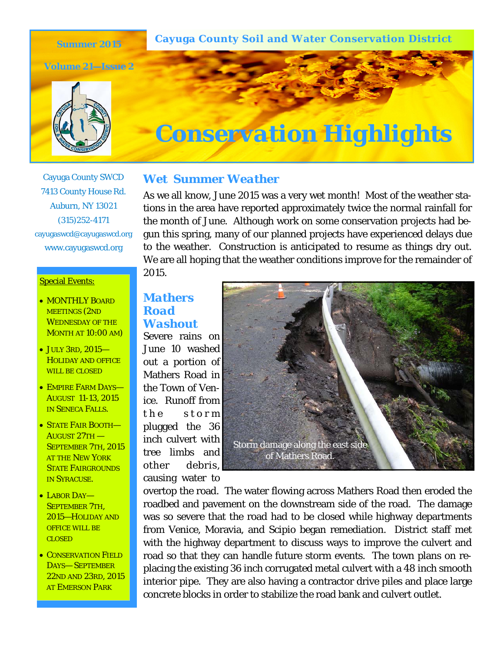**Cayuga County Soil and Water Conservation District** 

**Summer 2015** 

**Volume 21—Issue 2** 





### Cayuga County SWCD 7413 County House Rd. Auburn, NY 13021 (315)252-4171 cayugaswcd@cayugaswcd.org www.cayugaswcd.org

#### **Special Events:**

- MONTHLY BOARD MEETINGS (2ND WEDNESDAY OF THE MONTH AT 10:00 AM)
- JULY 3RD, 2015— HOLIDAY AND OFFICE WILL BE CLOSED
- EMPIRE FARM DAYS— AUGUST 11-13, 2015 IN SENECA FALLS.
- STATE FAIR BOOTH-AUGUST 27TH — SEPTEMBER 7TH, 2015 AT THE NEW YORK STATE FAIRGROUNDS IN SYRACUSE.
- LABOR DAY-SEPTEMBER 7TH, 2015—HOLIDAY AND OFFICE WILL BE CLOSED
- **CONSERVATION FIELD** DAYS— SEPTEMBER 22ND AND 23RD, 2015 AT EMERSON PARK

### *Wet Summer Weather*

As we all know, June 2015 was a very wet month! Most of the weather stations in the area have reported approximately twice the normal rainfall for the month of June. Although work on some conservation projects had begun this spring, many of our planned projects have experienced delays due to the weather. Construction is anticipated to resume as things dry out. We are all hoping that the weather conditions improve for the remainder of 2015.

# *Mathers Road Washout*

Severe rains on June 10 washed out a portion of Mathers Road in the Town of Venice. Runoff from the storm plugged the 36 inch culvert with tree limbs and other debris, causing water to



overtop the road. The water flowing across Mathers Road then eroded the roadbed and pavement on the downstream side of the road. The damage was so severe that the road had to be closed while highway departments from Venice, Moravia, and Scipio began remediation. District staff met with the highway department to discuss ways to improve the culvert and road so that they can handle future storm events. The town plans on replacing the existing 36 inch corrugated metal culvert with a 48 inch smooth interior pipe. They are also having a contractor drive piles and place large concrete blocks in order to stabilize the road bank and culvert outlet.